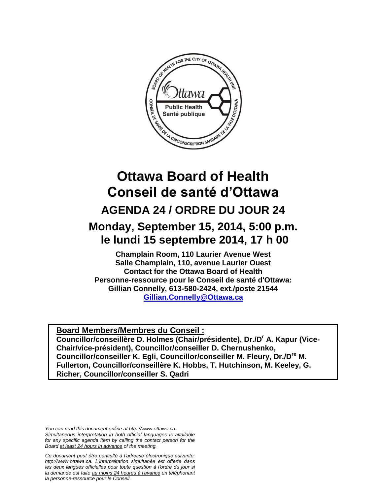

# **Ottawa Board of Health Conseil de santé d'Ottawa AGENDA 24 / ORDRE DU JOUR 24**

## **Monday, September 15, 2014, 5:00 p.m. le lundi 15 septembre 2014, 17 h 00**

**Champlain Room, 110 Laurier Avenue West Salle Champlain, 110, avenue Laurier Ouest Contact for the Ottawa Board of Health Personne-ressource pour le Conseil de santé d'Ottawa: Gillian Connelly, 613-580-2424, ext./poste 21544 [Gillian.Connelly@Ottawa.ca](mailto:Gillian.Connelly@Ottawa.ca)** 

**Board Members/Membres du Conseil : Councillor/conseillère D. Holmes (Chair/présidente), Dr./D<sup>r</sup> A. Kapur (Vice-Chair/vice-président), Councillor/conseiller D. Chernushenko, Councillor/conseiller K. Egli, Councillor/conseiller M. Fleury, Dr./Dre M. Fullerton, Councillor/conseillère K. Hobbs, T. Hutchinson, M. Keeley, G. Richer, Councillor/conseiller S. Qadri**

*You can read this document online at http://www.ottawa.ca. Simultaneous interpretation in both official languages is available for any specific agenda item by calling the contact person for the Board at least 24 hours in advance of the meeting.*

*Ce document peut être consulté à l'adresse électronique suivante: http://www.ottawa.ca. L'interprétation simultanée est offerte dans les deux langues officielles pour toute question à l'ordre du jour si la demande est faite au moins 24 heures à l'avance en téléphonant la personne-ressource pour le Conseil.*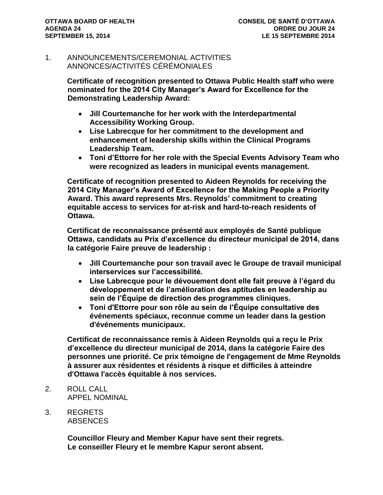#### 1. ANNOUNCEMENTS/CEREMONIAL ACTIVITIES ANNONCES/ACTIVITÉS CÉRÉMONIALES

**Certificate of recognition presented to Ottawa Public Health staff who were nominated for the 2014 City Manager's Award for Excellence for the Demonstrating Leadership Award:**

- **Jill Courtemanche for her work with the Interdepartmental Accessibility Working Group.**
- **Lise Labrecque for her commitment to the development and enhancement of leadership skills within the Clinical Programs Leadership Team.**
- **Toni d'Ettorre for her role with the Special Events Advisory Team who were recognized as leaders in municipal events management.**

**Certificate of recognition presented to Aideen Reynolds for receiving the 2014 City Manager's Award of Excellence for the Making People a Priority Award. This award represents Mrs. Reynolds' commitment to creating equitable access to services for at-risk and hard-to-reach residents of Ottawa.**

**Certificat de reconnaissance présenté aux employés de Santé publique Ottawa, candidats au Prix d'excellence du directeur municipal de 2014, dans la catégorie Faire preuve de leadership :**

- **Jill Courtemanche pour son travail avec le Groupe de travail municipal interservices sur l'accessibilité.**
- **Lise Labrecque pour le dévouement dont elle fait preuve à l'égard du développement et de l'amélioration des aptitudes en leadership au sein de l'Équipe de direction des programmes cliniques.**
- **Toni d'Ettorre pour son rôle au sein de l'Équipe consultative des événements spéciaux, reconnue comme un leader dans la gestion d'événements municipaux.**

**Certificat de reconnaissance remis à Aideen Reynolds qui a reçu le Prix d'excellence du directeur municipal de 2014, dans la catégorie Faire des personnes une priorité. Ce prix témoigne de l'engagement de Mme Reynolds à assurer aux résidentes et résidents à risque et difficiles à atteindre d'Ottawa l'accès équitable à nos services.**

- 2. ROLL CALL APPEL NOMINAL
- 3. REGRETS **ABSENCES**

**Councillor Fleury and Member Kapur have sent their regrets. Le conseiller Fleury et le membre Kapur seront absent.**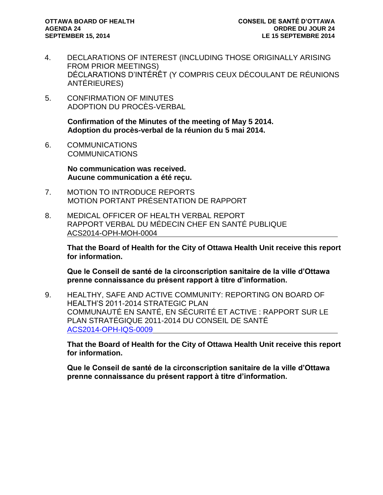- 4. DECLARATIONS OF INTEREST (INCLUDING THOSE ORIGINALLY ARISING FROM PRIOR MEETINGS) DÉCLARATIONS D'INTÉRÊT (Y COMPRIS CEUX DÉCOULANT DE RÉUNIONS ANTÉRIEURES)
- 5. CONFIRMATION OF MINUTES ADOPTION DU PROCÈS-VERBAL

**Confirmation of the Minutes of the meeting of May 5 2014. Adoption du procès-verbal de la réunion du 5 mai 2014.**

6. COMMUNICATIONS COMMUNICATIONS

> **No communication was received. Aucune communication a été reçu.**

- 7. MOTION TO INTRODUCE REPORTS MOTION PORTANT PRÉSENTATION DE RAPPORT
- 8. MEDICAL OFFICER OF HEALTH VERBAL REPORT RAPPORT VERBAL DU MÉDECIN CHEF EN SANTÉ PUBLIQUE ACS2014-OPH-MOH-0004

**That the Board of Health for the City of Ottawa Health Unit receive this report for information.** 

**Que le Conseil de santé de la circonscription sanitaire de la ville d'Ottawa prenne connaissance du présent rapport à titre d'information.**

9. HEALTHY, SAFE AND ACTIVE COMMUNITY: REPORTING ON BOARD OF HEALTH'S 2011-2014 STRATEGIC PLAN COMMUNAUTÉ EN SANTÉ, EN SÉCURITÉ ET ACTIVE : RAPPORT SUR LE PLAN STRATÉGIQUE 2011-2014 DU CONSEIL DE SANTÉ [ACS2014-OPH-IQS-0009](http://ottawa.ca/calendar/ottawa/citycouncil/obh/2014/09-15/Strategic%20Priorities%20Report.pdf)

**That the Board of Health for the City of Ottawa Health Unit receive this report for information.**

**Que le Conseil de santé de la circonscription sanitaire de la ville d'Ottawa prenne connaissance du présent rapport à titre d'information.**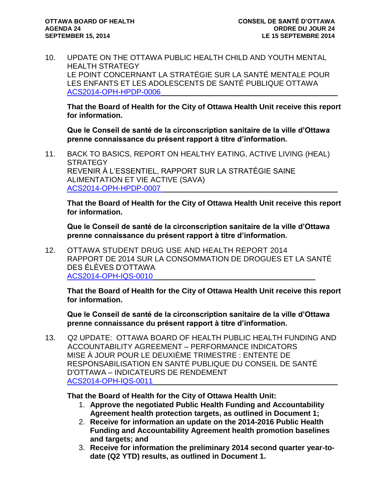10. UPDATE ON THE OTTAWA PUBLIC HEALTH CHILD AND YOUTH MENTAL HEALTH STRATEGY LE POINT CONCERNANT LA STRATÉGIE SUR LA SANTÉ MENTALE POUR LES ENFANTS ET LES ADOLESCENTS DE SANTÉ PUBLIQUE OTTAWA [ACS2014-OPH-HPDP-0006](http://ottawa.ca/calendar/ottawa/citycouncil/obh/2014/09-15/Mental%20Health%20Report.pdf)

**That the Board of Health for the City of Ottawa Health Unit receive this report for information.**

**Que le Conseil de santé de la circonscription sanitaire de la ville d'Ottawa prenne connaissance du présent rapport à titre d'information.**

11. BACK TO BASICS, REPORT ON HEALTHY EATING, ACTIVE LIVING (HEAL) **STRATEGY** REVENIR À L'ESSENTIEL, RAPPORT SUR LA STRATÉGIE SAINE ALIMENTATION ET VIE ACTIVE (SAVA) [ACS2014-OPH-HPDP-0007](http://ottawa.ca/calendar/ottawa/citycouncil/obh/2014/09-15/HEAL%20Report.pdf)

**That the Board of Health for the City of Ottawa Health Unit receive this report for information.**

**Que le Conseil de santé de la circonscription sanitaire de la ville d'Ottawa prenne connaissance du présent rapport à titre d'information.**

12. OTTAWA STUDENT DRUG USE AND HEALTH REPORT 2014 RAPPORT DE 2014 SUR LA CONSOMMATION DE DROGUES ET LA SANTÉ DES ÉLÈVES D'OTTAWA [ACS2014-OPH-IQS-0010](http://ottawa.ca/calendar/ottawa/citycouncil/obh/2014/09-15/OSDUHS%20Report.pdf)

**That the Board of Health for the City of Ottawa Health Unit receive this report for information.**

**Que le Conseil de santé de la circonscription sanitaire de la ville d'Ottawa prenne connaissance du présent rapport à titre d'information.**

13. Q2 UPDATE: OTTAWA BOARD OF HEALTH PUBLIC HEALTH FUNDING AND ACCOUNTABILITY AGREEMENT – PERFORMANCE INDICATORS MISE À JOUR POUR LE DEUXIÈME TRIMESTRE : ENTENTE DE RESPONSABILISATION EN SANTÉ PUBLIQUE DU CONSEIL DE SANTÉ D'OTTAWA – INDICATEURS DE RENDEMENT [ACS2014-OPH-IQS-0011](http://ottawa.ca/calendar/ottawa/citycouncil/obh/2014/09-15/Accountability%20Agreement%20Report.pdf)

**That the Board of Health for the City of Ottawa Health Unit:**

- 1. **Approve the negotiated Public Health Funding and Accountability Agreement health protection targets, as outlined in Document 1;**
- 2. **Receive for information an update on the 2014-2016 Public Health Funding and Accountability Agreement health promotion baselines and targets; and**
- 3. **Receive for information the preliminary 2014 second quarter year-todate (Q2 YTD) results, as outlined in Document 1.**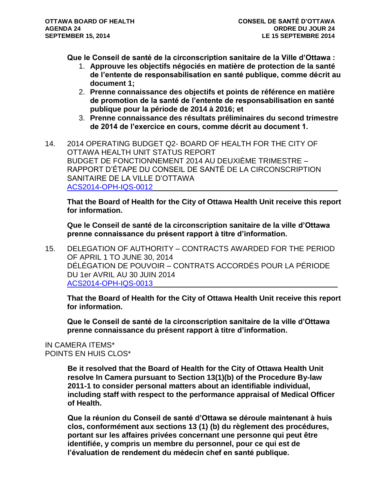**Que le Conseil de santé de la circonscription sanitaire de la Ville d'Ottawa :**

- 1. **Approuve les objectifs négociés en matière de protection de la santé de l'entente de responsabilisation en santé publique, comme décrit au document 1;**
- 2. **Prenne connaissance des objectifs et points de référence en matière de promotion de la santé de l'entente de responsabilisation en santé publique pour la période de 2014 à 2016; et**
- 3. **Prenne connaissance des résultats préliminaires du second trimestre de 2014 de l'exercice en cours, comme décrit au document 1.**
- 14. 2014 OPERATING BUDGET Q2- BOARD OF HEALTH FOR THE CITY OF OTTAWA HEALTH UNIT STATUS REPORT BUDGET DE FONCTIONNEMENT 2014 AU DEUXIÈME TRIMESTRE – RAPPORT D'ÉTAPE DU CONSEIL DE SANTÉ DE LA CIRCONSCRIPTION SANITAIRE DE LA VILLE D'OTTAWA [ACS2014-OPH-IQS-0012](http://ottawa.ca/calendar/ottawa/citycouncil/obh/2014/09-15/Budget%20Q2%20Report.pdf)

**That the Board of Health for the City of Ottawa Health Unit receive this report for information.**

**Que le Conseil de santé de la circonscription sanitaire de la ville d'Ottawa prenne connaissance du présent rapport à titre d'information.**

15. DELEGATION OF AUTHORITY – CONTRACTS AWARDED FOR THE PERIOD OF APRIL 1 TO JUNE 30, 2014 DÉLÉGATION DE POUVOIR – CONTRATS ACCORDÉS POUR LA PÉRIODE DU 1er AVRIL AU 30 JUIN 2014 [ACS2014-OPH-IQS-0013](http://ottawa.ca/calendar/ottawa/citycouncil/obh/2014/09-15/Delegation%20of%20Authority%20Report.pdf)

**That the Board of Health for the City of Ottawa Health Unit receive this report for information.**

**Que le Conseil de santé de la circonscription sanitaire de la ville d'Ottawa prenne connaissance du présent rapport à titre d'information.**

#### IN CAMERA ITEMS\* POINTS EN HUIS CLOS\*

**Be it resolved that the Board of Health for the City of Ottawa Health Unit resolve In Camera pursuant to Section 13(1)(b) of the Procedure By-law 2011-1 to consider personal matters about an identifiable individual, including staff with respect to the performance appraisal of Medical Officer of Health.**

**Que la réunion du Conseil de santé d'Ottawa se déroule maintenant à huis clos, conformément aux sections 13 (1) (b) du règlement des procédures, portant sur les affaires privées concernant une personne qui peut être identifiée, y compris un membre du personnel, pour ce qui est de l'évaluation de rendement du médecin chef en santé publique.**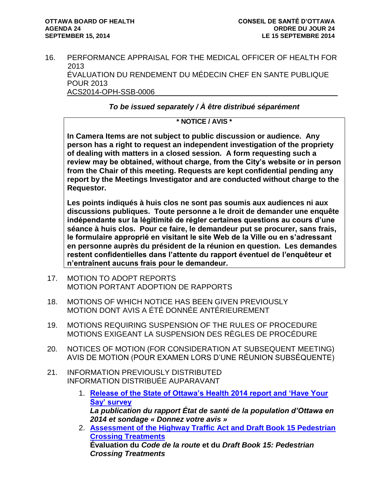16. PERFORMANCE APPRAISAL FOR THE MEDICAL OFFICER OF HEALTH FOR 2013 ÉVALUATION DU RENDEMENT DU MÉDECIN CHEF EN SANTE PUBLIQUE POUR 2013 ACS2014-OPH-SSB-0006

*To be issued separately / À être distribué séparément*

### **\* NOTICE / AVIS \***

**In Camera Items are not subject to public discussion or audience. Any person has a right to request an independent investigation of the propriety of dealing with matters in a closed session. A form requesting such a review may be obtained, without charge, from the City's website or in person from the Chair of this meeting. Requests are kept confidential pending any report by the Meetings Investigator and are conducted without charge to the Requestor.**

**Les points indiqués à huis clos ne sont pas soumis aux audiences ni aux discussions publiques. Toute personne a le droit de demander une enquête indépendante sur la légitimité de régler certaines questions au cours d'une séance à huis clos. Pour ce faire, le demandeur put se procurer, sans frais, le formulaire approprié en visitant le site Web de la Ville ou en s'adressant en personne auprès du président de la réunion en question. Les demandes restent confidentielles dans l'attente du rapport éventuel de l'enquêteur et n'entraînent aucuns frais pour le demandeur.**

- 17. MOTION TO ADOPT REPORTS MOTION PORTANT ADOPTION DE RAPPORTS
- 18. MOTIONS OF WHICH NOTICE HAS BEEN GIVEN PREVIOUSLY MOTION DONT AVIS A ÉTÉ DONNÉE ANTÉRIEUREMENT
- 19. MOTIONS REQUIRING SUSPENSION OF THE RULES OF PROCEDURE MOTIONS EXIGEANT LA SUSPENSION DES RÈGLES DE PROCÉDURE
- 20. NOTICES OF MOTION (FOR CONSIDERATION AT SUBSEQUENT MEETING) AVIS DE MOTION (POUR EXAMEN LORS D'UNE RÉUNION SUBSÉQUENTE)
- 21. INFORMATION PREVIOUSLY DISTRIBUTED INFORMATION DISTRIBUÉE AUPARAVANT
	- 1. **[Release of the State of Ottawa's Health 2014 report and 'Have Your](http://ottawa.ca/calendar/ottawa/citycouncil/obh/2014/09-15/Memo_%20Survey%20and%20Health%20Status%20Report_20140709.pdf)  [Say' survey](http://ottawa.ca/calendar/ottawa/citycouncil/obh/2014/09-15/Memo_%20Survey%20and%20Health%20Status%20Report_20140709.pdf)** *La publication du rapport État de santé de la population d'Ottawa en 2014 et sondage « Donnez votre avis »*
	- 2. **[Assessment of the Highway Traffic Act and Draft Book 15 Pedestrian](http://ottawa.ca/calendar/ottawa/citycouncil/obh/2014/09-15/Memo%20-%20HTA%20and%20Book%2015%20Final%20(2).pdf)  [Crossing Treatments](http://ottawa.ca/calendar/ottawa/citycouncil/obh/2014/09-15/Memo%20-%20HTA%20and%20Book%2015%20Final%20(2).pdf) Évaluation du** *Code de la route* **et du** *Draft Book 15: Pedestrian Crossing Treatments*